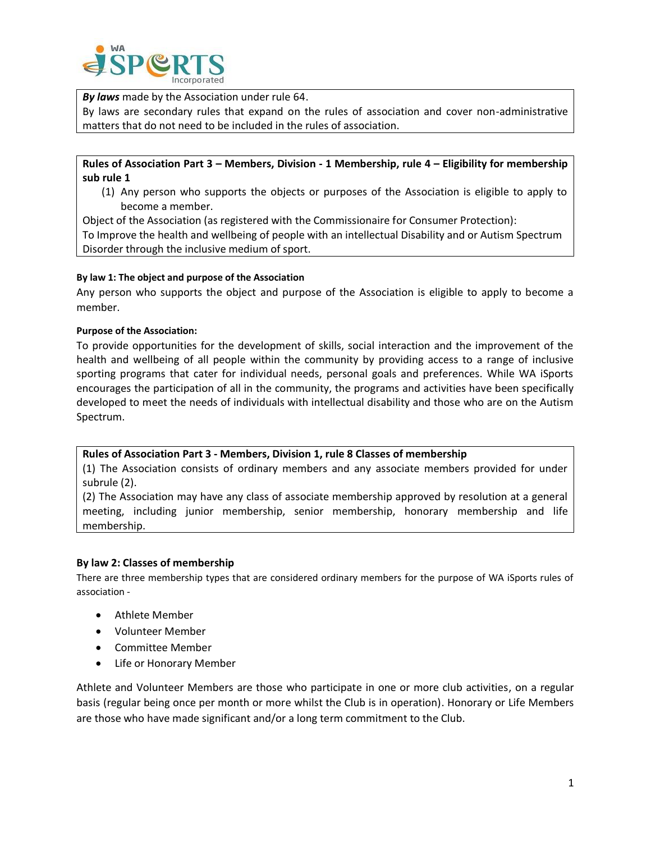

*By laws* made by the Association under rule 64.

By laws are secondary rules that expand on the rules of association and cover non-administrative matters that do not need to be included in the rules of association.

**Rules of Association Part 3 – Members, Division - 1 Membership, rule 4 – Eligibility for membership sub rule 1**

(1) Any person who supports the objects or purposes of the Association is eligible to apply to become a member.

Object of the Association (as registered with the Commissionaire for Consumer Protection): To Improve the health and wellbeing of people with an intellectual Disability and or Autism Spectrum Disorder through the inclusive medium of sport.

## **By law 1: The object and purpose of the Association**

Any person who supports the object and purpose of the Association is eligible to apply to become a member.

## **Purpose of the Association:**

To provide opportunities for the development of skills, social interaction and the improvement of the health and wellbeing of all people within the community by providing access to a range of inclusive sporting programs that cater for individual needs, personal goals and preferences. While WA iSports encourages the participation of all in the community, the programs and activities have been specifically developed to meet the needs of individuals with intellectual disability and those who are on the Autism Spectrum.

### **Rules of Association Part 3 - Members, Division 1, rule 8 Classes of membership**

(1) The Association consists of ordinary members and any associate members provided for under subrule (2).

(2) The Association may have any class of associate membership approved by resolution at a general meeting, including junior membership, senior membership, honorary membership and life membership.

### **By law 2: Classes of membership**

There are three membership types that are considered ordinary members for the purpose of WA iSports rules of association -

- Athlete Member
- Volunteer Member
- Committee Member
- Life or Honorary Member

Athlete and Volunteer Members are those who participate in one or more club activities, on a regular basis (regular being once per month or more whilst the Club is in operation). Honorary or Life Members are those who have made significant and/or a long term commitment to the Club.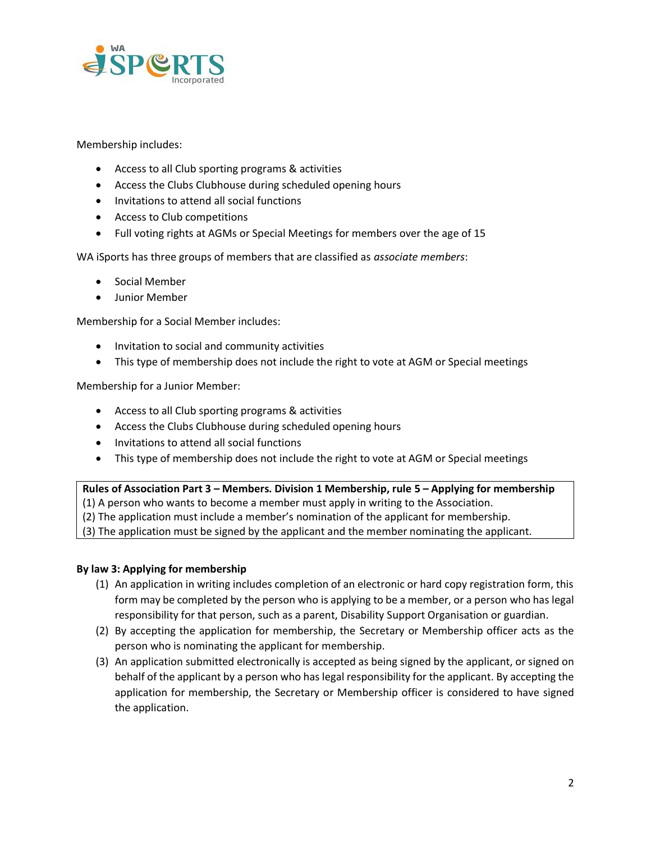

Membership includes:

- Access to all Club sporting programs & activities
- Access the Clubs Clubhouse during scheduled opening hours
- Invitations to attend all social functions
- Access to Club competitions
- Full voting rights at AGMs or Special Meetings for members over the age of 15

WA iSports has three groups of members that are classified as *associate members*:

- Social Member
- Junior Member

Membership for a Social Member includes:

- Invitation to social and community activities
- This type of membership does not include the right to vote at AGM or Special meetings

Membership for a Junior Member:

- Access to all Club sporting programs & activities
- Access the Clubs Clubhouse during scheduled opening hours
- Invitations to attend all social functions
- This type of membership does not include the right to vote at AGM or Special meetings

**Rules of Association Part 3 – Members. Division 1 Membership, rule 5 – Applying for membership**

(1) A person who wants to become a member must apply in writing to the Association.

(2) The application must include a member's nomination of the applicant for membership.

(3) The application must be signed by the applicant and the member nominating the applicant.

## **By law 3: Applying for membership**

- (1) An application in writing includes completion of an electronic or hard copy registration form, this form may be completed by the person who is applying to be a member, or a person who has legal responsibility for that person, such as a parent, Disability Support Organisation or guardian.
- (2) By accepting the application for membership, the Secretary or Membership officer acts as the person who is nominating the applicant for membership.
- (3) An application submitted electronically is accepted as being signed by the applicant, or signed on behalf of the applicant by a person who has legal responsibility for the applicant. By accepting the application for membership, the Secretary or Membership officer is considered to have signed the application.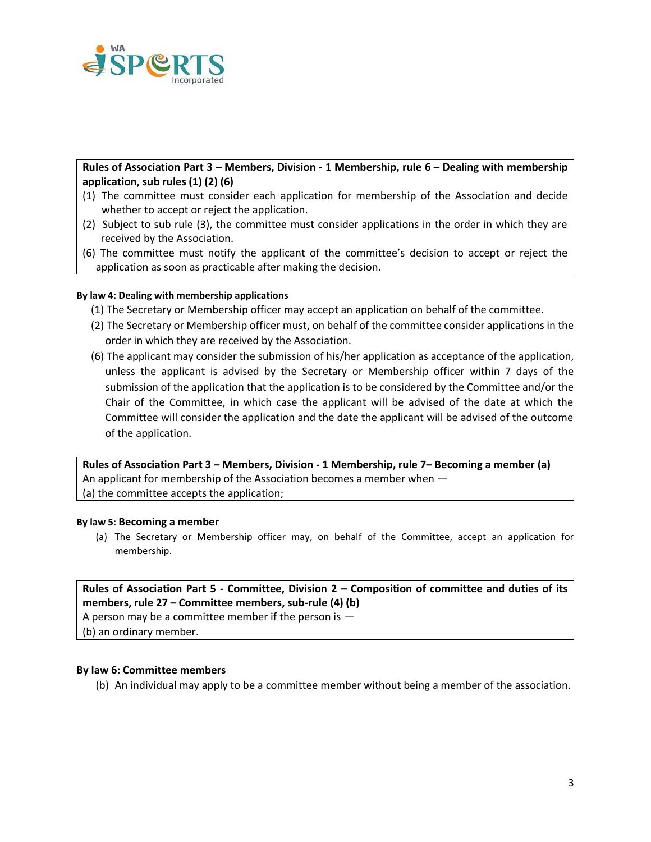

**Rules of Association Part 3 – Members, Division - 1 Membership, rule 6 – Dealing with membership application, sub rules (1) (2) (6)**

- (1) The committee must consider each application for membership of the Association and decide whether to accept or reject the application.
- (2) Subject to sub rule (3), the committee must consider applications in the order in which they are received by the Association.
- (6) The committee must notify the applicant of the committee's decision to accept or reject the application as soon as practicable after making the decision.

## **By law 4: Dealing with membership applications**

- (1) The Secretary or Membership officer may accept an application on behalf of the committee.
- (2) The Secretary or Membership officer must, on behalf of the committee consider applications in the order in which they are received by the Association.
- (6) The applicant may consider the submission of his/her application as acceptance of the application, unless the applicant is advised by the Secretary or Membership officer within 7 days of the submission of the application that the application is to be considered by the Committee and/or the Chair of the Committee, in which case the applicant will be advised of the date at which the Committee will consider the application and the date the applicant will be advised of the outcome of the application.

**Rules of Association Part 3 – Members, Division - 1 Membership, rule 7– Becoming a member (a)** An applicant for membership of the Association becomes a member when — (a) the committee accepts the application;

### **By law 5: Becoming a member**

(a) The Secretary or Membership officer may, on behalf of the Committee, accept an application for membership.

# **Rules of Association Part 5 - Committee, Division 2 – Composition of committee and duties of its members, rule 27 – Committee members, sub-rule (4) (b)**

A person may be a committee member if the person is  $-$ (b) an ordinary member.

### **By law 6: Committee members**

(b) An individual may apply to be a committee member without being a member of the association.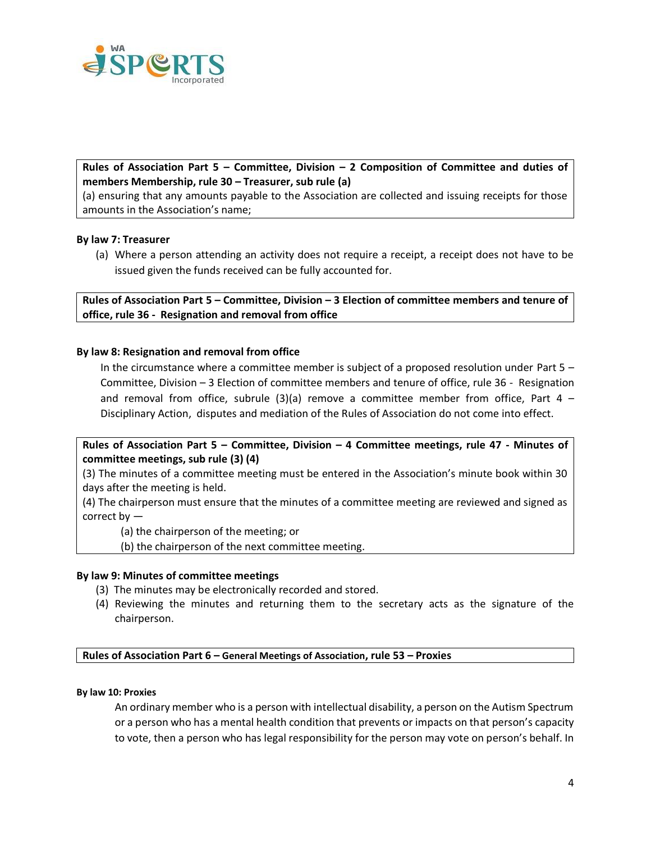

# **Rules of Association Part 5 – Committee, Division – 2 Composition of Committee and duties of members Membership, rule 30 – Treasurer, sub rule (a)**

(a) ensuring that any amounts payable to the Association are collected and issuing receipts for those amounts in the Association's name;

## **By law 7: Treasurer**

(a) Where a person attending an activity does not require a receipt, a receipt does not have to be issued given the funds received can be fully accounted for.

**Rules of Association Part 5 – Committee, Division – 3 Election of committee members and tenure of office, rule 36 - Resignation and removal from office** 

### **By law 8: Resignation and removal from office**

In the circumstance where a committee member is subject of a proposed resolution under Part 5 – Committee, Division – 3 Election of committee members and tenure of office, rule 36 - Resignation and removal from office, subrule  $(3)(a)$  remove a committee member from office, Part 4 – Disciplinary Action, disputes and mediation of the Rules of Association do not come into effect.

**Rules of Association Part 5 – Committee, Division – 4 Committee meetings, rule 47 - Minutes of committee meetings, sub rule (3) (4)**

(3) The minutes of a committee meeting must be entered in the Association's minute book within 30 days after the meeting is held.

(4) The chairperson must ensure that the minutes of a committee meeting are reviewed and signed as correct by —

(a) the chairperson of the meeting; or

(b) the chairperson of the next committee meeting.

### **By law 9: Minutes of committee meetings**

- (3) The minutes may be electronically recorded and stored.
- (4) Reviewing the minutes and returning them to the secretary acts as the signature of the chairperson.

**Rules of Association Part 6 – General Meetings of Association, rule 53 – Proxies** 

#### **By law 10: Proxies**

An ordinary member who is a person with intellectual disability, a person on the Autism Spectrum or a person who has a mental health condition that prevents or impacts on that person's capacity to vote, then a person who has legal responsibility for the person may vote on person's behalf. In